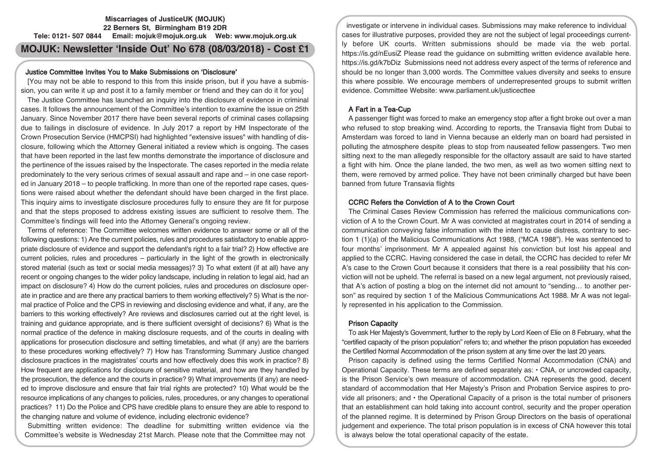# **Miscarriages of JusticeUK (MOJUK) 22 Berners St, Birmingham B19 2DR Tele: 0121- 507 0844 Email: mojuk@mojuk.org.uk Web: www.mojuk.org.uk**

# **MOJUK: Newsletter 'Inside Out' No 678 (08/03/2018) - Cost £1**

### Justice Committee Invites You to Make Submissions on 'Disclosure'

[You may not be able to respond to this from this inside prison, but if you have a submission, you can write it up and post it to a family member or friend and they can do it for you]

The Justice Committee has launched an inquiry into the disclosure of evidence in criminal cases. It follows the announcement of the Committee's intention to examine the issue on 25th January. Since November 2017 there have been several reports of criminal cases collapsing due to failings in disclosure of evidence. In July 2017 a report by HM Inspectorate of the Crown Prosecution Service (HMCPSI) had highlighted "extensive issues" with handling of disclosure, following which the Attorney General initiated a review which is ongoing. The cases that have been reported in the last few months demonstrate the importance of disclosure and the pertinence of the issues raised by the Inspectorate. The cases reported in the media relate predominately to the very serious crimes of sexual assault and rape and – in one case reported in January 2018 – to people trafficking. In more than one of the reported rape cases, questions were raised about whether the defendant should have been charged in the first place. This inquiry aims to investigate disclosure procedures fully to ensure they are fit for purpose and that the steps proposed to address existing issues are sufficient to resolve them. The Committee's findings will feed into the Attorney General's ongoing review.

Terms of reference: The Committee welcomes written evidence to answer some or all of the following questions: 1) Are the current policies, rules and procedures satisfactory to enable appropriate disclosure of evidence and support the defendant's right to a fair trial? 2) How effective are current policies, rules and procedures – particularly in the light of the growth in electronically stored material (such as text or social media messages)? 3) To what extent (if at all) have any recent or ongoing changes to the wider policy landscape, including in relation to legal aid, had an impact on disclosure? 4) How do the current policies, rules and procedures on disclosure operate in practice and are there any practical barriers to them working effectively? 5) What is the normal practice of Police and the CPS in reviewing and disclosing evidence and what, if any, are the barriers to this working effectively? Are reviews and disclosures carried out at the right level, is training and guidance appropriate, and is there sufficient oversight of decisions? 6) What is the normal practice of the defence in making disclosure requests, and of the courts in dealing with applications for prosecution disclosure and setting timetables, and what (if any) are the barriers to these procedures working effectively? 7) How has Transforming Summary Justice changed disclosure practices in the magistrates' courts and how effectively does this work in practice? 8) How frequent are applications for disclosure of sensitive material, and how are they handled by the prosecution, the defence and the courts in practice? 9) What improvements (if any) are needed to improve disclosure and ensure that fair trial rights are protected? 10) What would be the resource implications of any changes to policies, rules, procedures, or any changes to operational practices? 11) Do the Police and CPS have credible plans to ensure they are able to respond to the changing nature and volume of evidence, including electronic evidence?

Submitting written evidence: The deadline for submitting written evidence via the Committee's website is Wednesday 21st March. Please note that the Committee may not

investigate or intervene in individual cases. Submissions may make reference to individual cases for illustrative purposes, provided they are not the subject of legal proceedings currently before UK courts. Written submissions should be made via the web portal. https://is.gd/nEusiZ Please read the guidance on submitting written evidence available here. https://is.gd/k7bDiz Submissions need not address every aspect of the terms of reference and should be no longer than 3,000 words. The Committee values diversity and seeks to ensure this where possible. We encourage members of underrepresented groups to submit written evidence. Committee Website: www.parliament.uk/justicecttee

# A Fart in a Tea-Cup

A passenger flight was forced to make an emergency stop after a fight broke out over a man who refused to stop breaking wind. According to reports, the Transavia flight from Dubai to Amsterdam was forced to land in Vienna because an elderly man on board had persisted in polluting the atmosphere despite pleas to stop from nauseated fellow passengers. Two men sitting next to the man allegedly responsible for the olfactory assault are said to have started a fight with him. Once the plane landed, the two men, as well as two women sitting next to them, were removed by armed police. They have not been criminally charged but have been banned from future Transavia flights

# CCRC Refers the Conviction of A to the Crown Court

The Criminal Cases Review Commission has referred the malicious communications conviction of A to the Crown Court. Mr A was convicted at magistrates court in 2014 of sending a communication conveying false information with the intent to cause distress, contrary to section 1 (1)(a) of the Malicious Communications Act 1988, ("MCA 1988"). He was sentenced to four months' imprisonment. Mr A appealed against his conviction but lost his appeal and applied to the CCRC. Having considered the case in detail, the CCRC has decided to refer Mr A's case to the Crown Court because it considers that there is a real possibility that his conviction will not be upheld. The referral is based on a new legal argument, not previously raised, that A's action of posting a blog on the internet did not amount to "sending… to another person" as required by section 1 of the Malicious Communications Act 1988. Mr A was not legally represented in his application to the Commission.

### Prison Capacity

To ask Her Majesty's Government, further to the reply by Lord Keen of Elie on 8 February, what the "certified capacity of the prison population" refers to; and whether the prison population has exceeded the Certified Normal Accommodation of the prison system at any time over the last 20 years.

Prison capacity is defined using the terms Certified Normal Accommodation (CNA) and Operational Capacity. These terms are defined separately as: • CNA, or uncrowded capacity, is the Prison Service's own measure of accommodation. CNA represents the good, decent standard of accommodation that Her Majesty's Prison and Probation Service aspires to provide all prisoners; and • the Operational Capacity of a prison is the total number of prisoners that an establishment can hold taking into account control, security and the proper operation of the planned regime. It is determined by Prison Group Directors on the basis of operational judgement and experience. The total prison population is in excess of CNA however this total is always below the total operational capacity of the estate.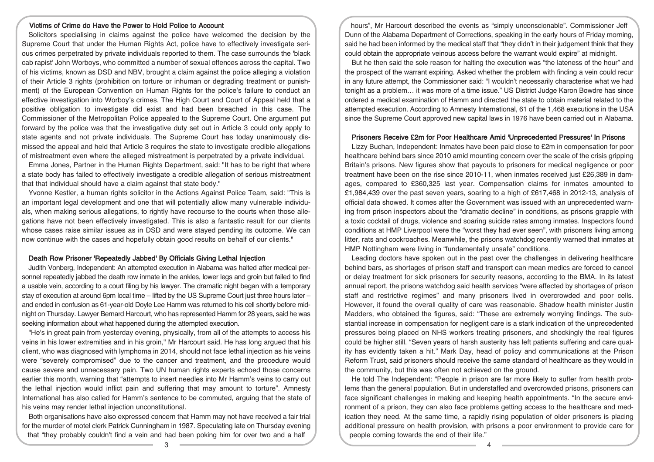#### Victims of Crime do Have the Power to Hold Police to Account

Solicitors specialising in claims against the police have welcomed the decision by the Supreme Court that under the Human Rights Act, police have to effectively investigate serious crimes perpetrated by private individuals reported to them. The case surrounds the 'black cab rapist' John Worboys, who committed a number of sexual offences across the capital. Two of his victims, known as DSD and NBV, brought a claim against the police alleging a violation of their Article 3 rights (prohibition on torture or inhuman or degrading treatment or punishment) of the European Convention on Human Rights for the police's failure to conduct an effective investigation into Worboy's crimes. The High Court and Court of Appeal held that a positive obligation to investigate did exist and had been breached in this case. The Commissioner of the Metropolitan Police appealed to the Supreme Court. One argument put forward by the police was that the investigative duty set out in Article 3 could only apply to state agents and not private individuals. The Supreme Court has today unanimously dismissed the appeal and held that Article 3 requires the state to investigate credible allegations of mistreatment even where the alleged mistreatment is perpetrated by a private individual.

Emma Jones, Partner in the Human Rights Department, said: "It has to be right that where a state body has failed to effectively investigate a credible allegation of serious mistreatment that that individual should have a claim against that state body."

Yvonne Kestler, a human rights solicitor in the Actions Against Police Team, said: "This is an important legal development and one that will potentially allow many vulnerable individuals, when making serious allegations, to rightly have recourse to the courts when those allegations have not been effectively investigated. This is also a fantastic result for our clients whose cases raise similar issues as in DSD and were stayed pending its outcome. We can now continue with the cases and hopefully obtain good results on behalf of our clients."

### Death Row Prisoner 'Repeatedly Jabbed' By Officials Giving Lethal Injection

Judith Vonberg, Independent: An attempted execution in Alabama was halted after medical personnel repeatedly jabbed the death row inmate in the ankles, lower legs and groin but failed to find a usable vein, according to a court filing by his lawyer. The dramatic night began with a temporary stay of execution at around 6pm local time – lifted by the US Supreme Court just three hours later – and ended in confusion as 61-year-old Doyle Lee Hamm was returned to his cell shortly before midnight on Thursday. Lawyer Bernard Harcourt, who has represented Hamm for 28 years, said he was seeking information about what happened during the attempted execution.

"He's in great pain from yesterday evening, physically, from all of the attempts to access his veins in his lower extremities and in his groin," Mr Harcourt said. He has long argued that his client, who was diagnosed with lymphoma in 2014, should not face lethal injection as his veins were "severely compromised" due to the cancer and treatment, and the procedure would cause severe and unnecessary pain. Two UN human rights experts echoed those concerns earlier this month, warning that "attempts to insert needles into Mr Hamm's veins to carry out the lethal injection would inflict pain and suffering that may amount to torture". Amnesty International has also called for Hamm's sentence to be commuted, arguing that the state of his veins may render lethal injection unconstitutional.

Both organisations have also expressed concern that Hamm may not have received a fair trial for the murder of motel clerk Patrick Cunningham in 1987. Speculating late on Thursday evening that "they probably couldn't find a vein and had been poking him for over two and a half

hours", Mr Harcourt described the events as "simply unconscionable". Commissioner Jeff Dunn of the Alabama Department of Corrections, speaking in the early hours of Friday morning, said he had been informed by the medical staff that "they didn't in their judgement think that they could obtain the appropriate veinous access before the warrant would expire" at midnight.

But he then said the sole reason for halting the execution was "the lateness of the hour" and the prospect of the warrant expiring. Asked whether the problem with finding a vein could recur in any future attempt, the Commissioner said: "I wouldn't necessarily characterise what we had tonight as a problem… it was more of a time issue." US District Judge Karon Bowdre has since ordered a medical examination of Hamm and directed the state to obtain material related to the attempted execution. According to Amnesty International, 61 of the 1,468 executions in the USA since the Supreme Court approved new capital laws in 1976 have been carried out in Alabama.

### Prisoners Receive £2m for Poor Healthcare Amid 'Unprecedented Pressures' In Prisons

Lizzy Buchan, Independent: Inmates have been paid close to £2m in compensation for poor healthcare behind bars since 2010 amid mounting concern over the scale of the crisis gripping Britain's prisons. New figures show that payouts to prisoners for medical negligence or poor treatment have been on the rise since 2010-11, when inmates received just £26,389 in damages, compared to £360,325 last year. Compensation claims for inmates amounted to £1,984,439 over the past seven years, soaring to a high of £617,468 in 2012-13, analysis of official data showed. It comes after the Government was issued with an unprecedented warning from prison inspectors about the "dramatic decline" in conditions, as prisons grapple with a toxic cocktail of drugs, violence and soaring suicide rates among inmates. Inspectors found conditions at HMP Liverpool were the "worst they had ever seen", with prisoners living among litter, rats and cockroaches. Meanwhile, the prisons watchdog recently warned that inmates at HMP Nottingham were living in "fundamentally unsafe" conditions.

Leading doctors have spoken out in the past over the challenges in delivering healthcare behind bars, as shortages of prison staff and transport can mean medics are forced to cancel or delay treatment for sick prisoners for security reasons, according to the BMA. In its latest annual report, the prisons watchdog said health services "were affected by shortages of prison staff and restrictive regimes" and many prisoners lived in overcrowded and poor cells. However, it found the overall quality of care was reasonable. Shadow health minister Justin Madders, who obtained the figures, said: "These are extremely worrying findings. The substantial increase in compensation for negligent care is a stark indication of the unprecedented pressures being placed on NHS workers treating prisoners, and shockingly the real figures could be higher still. "Seven years of harsh austerity has left patients suffering and care quality has evidently taken a hit." Mark Day, head of policy and communications at the Prison Reform Trust, said prisoners should receive the same standard of healthcare as they would in the community, but this was often not achieved on the ground.

He told The Independent: "People in prison are far more likely to suffer from health problems than the general population. But in understaffed and overcrowded prisons, prisoners can face significant challenges in making and keeping health appointments. "In the secure environment of a prison, they can also face problems getting access to the healthcare and medication they need. At the same time, a rapidly rising population of older prisoners is placing additional pressure on health provision, with prisons a poor environment to provide care for people coming towards the end of their life."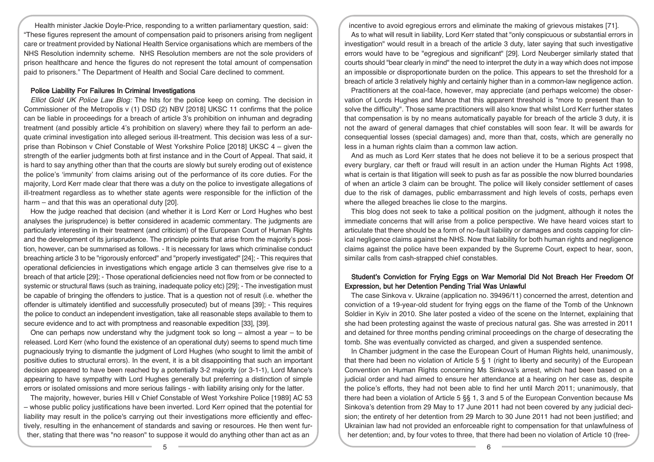Health minister Jackie Doyle-Price, responding to a written parliamentary question, said: "These figures represent the amount of compensation paid to prisoners arising from negligent care or treatment provided by National Health Service organisations which are members of the NHS Resolution indemnity scheme. NHS Resolution members are not the sole providers of prison healthcare and hence the figures do not represent the total amount of compensation paid to prisoners." The Department of Health and Social Care declined to comment.

### Police Liability For Failures In Criminal Investigations

Elliot Gold UK Police Law Blog: The hits for the police keep on coming. The decision in Commissioner of the Metropolis v (1) DSD (2) NBV [2018] UKSC 11 confirms that the police can be liable in proceedings for a breach of article 3's prohibition on inhuman and degrading treatment (and possibly article 4's prohibition on slavery) where they fail to perform an adequate criminal investigation into alleged serious ill-treatment. This decision was less of a surprise than Robinson v Chief Constable of West Yorkshire Police [2018] UKSC 4 – given the strength of the earlier judgments both at first instance and in the Court of Appeal. That said, it is hard to say anything other than that the courts are slowly but surely eroding out of existence the police's 'immunity' from claims arising out of the performance of its core duties. For the majority, Lord Kerr made clear that there was a duty on the police to investigate allegations of ill-treatment regardless as to whether state agents were responsible for the infliction of the harm – and that this was an operational duty [20].

How the judge reached that decision (and whether it is Lord Kerr or Lord Hughes who best analyses the jurisprudence) is better considered in academic commentary. The judgments are particularly interesting in their treatment (and criticism) of the European Court of Human Rights and the development of its jurisprudence. The principle points that arise from the majority's position, however, can be summarised as follows. - It is necessary for laws which criminalise conduct breaching article 3 to be "rigorously enforced" and "properly investigated" [24]; - This requires that operational deficiencies in investigations which engage article 3 can themselves give rise to a breach of that article [29]; - Those operational deficiencies need not flow from or be connected to systemic or structural flaws (such as training, inadequate policy etc) [29]; - The investigation must be capable of bringing the offenders to justice. That is a question not of result (i.e. whether the offender is ultimately identified and successfully prosecuted) but of means [39]; - This requires the police to conduct an independent investigation, take all reasonable steps available to them to secure evidence and to act with promptness and reasonable expedition [33], [39].

One can perhaps now understand why the judgment took so long  $-$  almost a year  $-$  to be released. Lord Kerr (who found the existence of an operational duty) seems to spend much time pugnaciously trying to dismantle the judgment of Lord Hughes (who sought to limit the ambit of positive duties to structural errors). In the event, it is a bit disappointing that such an important decision appeared to have been reached by a potentially 3-2 majority (or 3-1-1), Lord Mance's appearing to have sympathy with Lord Hughes generally but preferring a distinction of simple errors or isolated omissions and more serious failings - with liability arising only for the latter.

The majority, however, buries Hill v Chief Constable of West Yorkshire Police [1989] AC 53 – whose public policy justifications have been inverted. Lord Kerr opined that the potential for liability may result in the police's carrying out their investigations more efficiently and effectively, resulting in the enhancement of standards and saving or resources. He then went further, stating that there was "no reason" to suppose it would do anything other than act as an

incentive to avoid egregious errors and eliminate the making of grievous mistakes [71]. As to what will result in liability, Lord Kerr stated that "only conspicuous or substantial errors in investigation" would result in a breach of the article 3 duty, later saying that such investigative errors would have to be "egregious and significant" [29]. Lord Neuberger similarly stated that courts should "bear clearly in mind" the need to interpret the duty in a way which does not impose an impossible or disproportionate burden on the police. This appears to set the threshold for a breach of article 3 relatively highly and certainly higher than in a common-law negligence action.

Practitioners at the coal-face, however, may appreciate (and perhaps welcome) the observation of Lords Hughes and Mance that this apparent threshold is "more to present than to solve the difficulty". Those same practitioners will also know that whilst Lord Kerr further states that compensation is by no means automatically payable for breach of the article 3 duty, it is not the award of general damages that chief constables will soon fear. It will be awards for consequential losses (special damages) and, more than that, costs, which are generally no less in a human rights claim than a common law action.

And as much as Lord Kerr states that he does not believe it to be a serious prospect that every burglary, car theft or fraud will result in an action under the Human Rights Act 1998, what is certain is that litigation will seek to push as far as possible the now blurred boundaries of when an article 3 claim can be brought. The police will likely consider settlement of cases due to the risk of damages, public embarrassment and high levels of costs, perhaps even where the alleged breaches lie close to the margins.

This blog does not seek to take a political position on the judgment, although it notes the immediate concerns that will arise from a police perspective. We have heard voices start to articulate that there should be a form of no-fault liability or damages and costs capping for clinical negligence claims against the NHS. Now that liability for both human rights and negligence claims against the police have been expanded by the Supreme Court, expect to hear, soon, similar calls from cash-strapped chief constables.

# Student's Conviction for Frying Eggs on War Memorial Did Not Breach Her Freedom Of Expression, but her Detention Pending Trial Was Unlawful

The case Sinkova v. Ukraine (application no. 39496/11) concerned the arrest, detention and conviction of a 19-year-old student for frying eggs on the flame of the Tomb of the Unknown Soldier in Kyiv in 2010. She later posted a video of the scene on the Internet, explaining that she had been protesting against the waste of precious natural gas. She was arrested in 2011 and detained for three months pending criminal proceedings on the charge of desecrating the tomb. She was eventually convicted as charged, and given a suspended sentence.

In Chamber judgment in the case the European Court of Human Rights held, unanimously, that there had been no violation of Article 5 § 1 (right to liberty and security) of the European Convention on Human Rights concerning Ms Sinkova's arrest, which had been based on a judicial order and had aimed to ensure her attendance at a hearing on her case as, despite the police's efforts, they had not been able to find her until March 2011; unanimously, that there had been a violation of Article 5 §§ 1, 3 and 5 of the European Convention because Ms Sinkova's detention from 29 May to 17 June 2011 had not been covered by any judicial decision; the entirety of her detention from 29 March to 30 June 2011 had not been justified; and Ukrainian law had not provided an enforceable right to compensation for that unlawfulness of her detention; and, by four votes to three, that there had been no violation of Article 10 (free-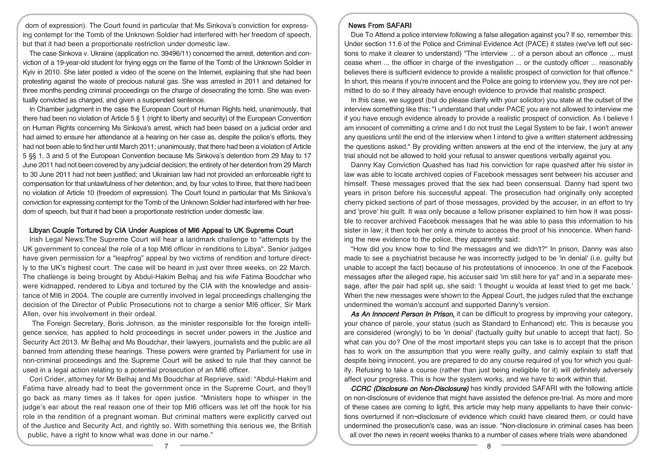dom of expression). The Court found in particular that Ms Sinkova's conviction for expressing contempt for the Tomb of the Unknown Soldier had interfered with her freedom of speech, but that it had been a proportionate restriction under domestic law.

The case Sinkova v. Ukraine (application no. 39496/11) concerned the arrest, detention and conviction of a 19-year-old student for frying eggs on the flame of the Tomb of the Unknown Soldier in Kyiv in 2010. She later posted a video of the scene on the Internet, explaining that she had been protesting against the waste of precious natural gas. She was arrested in 2011 and detained for three months pending criminal proceedings on the charge of desecrating the tomb. She was eventually convicted as charged, and given a suspended sentence.

In Chamber judgment in the case the European Court of Human Rights held, unanimously, that there had been no violation of Article 5 § 1 (right to liberty and security) of the European Convention on Human Rights concerning Ms Sinkova's arrest, which had been based on a judicial order and had aimed to ensure her attendance at a hearing on her case as, despite the police's efforts, they had not been able to find her until March 2011; unanimously, that there had been a violation of Article 5 §§ 1, 3 and 5 of the European Convention because Ms Sinkova's detention from 29 May to 17 June 2011 had not been covered by any judicial decision; the entirety of her detention from 29 March to 30 June 2011 had not been justified; and Ukrainian law had not provided an enforceable right to compensation for that unlawfulness of her detention; and, by four votes to three, that there had been no violation of Article 10 (freedom of expression). The Court found in particular that Ms Sinkova's conviction for expressing contempt for the Tomb of the Unknown Soldier had interfered with her freedom of speech, but that it had been a proportionate restriction under domestic law.

#### Libyan Couple Tortured by CIA Under Auspices of MI6 Appeal to UK Supreme Court

Irish Legal News:The Supreme Court will hear a landmark challenge to "attempts by the UK government to conceal the role of a top MI6 officer in renditions to Libya". Senior judges have given permission for a "leapfrog" appeal by two victims of rendition and torture directly to the UK's highest court. The case will be heard in just over three weeks, on 22 March. The challenge is being brought by Abdul-Hakim Belhaj and his wife Fatima Boudchar who were kidnapped, rendered to Libya and tortured by the CIA with the knowledge and assistance of MI6 in 2004. The couple are currently involved in legal proceedings challenging the decision of the Director of Public Prosecutions not to charge a senior MI6 officer, Sir Mark Allen, over his involvement in their ordeal.

The Foreign Secretary, Boris Johnson, as the minister responsible for the foreign intelligence service, has applied to hold proceedings in secret under powers in the Justice and Security Act 2013. Mr Belhaj and Ms Boudchar, their lawyers, journalists and the public are all banned from attending these hearings. These powers were granted by Parliament for use in non-criminal proceedings and the Supreme Court will be asked to rule that they cannot be used in a legal action relating to a potential prosecution of an MI6 officer.

Cori Crider, attorney for Mr Belhaj and Ms Boudchar at Reprieve, said: "Abdul-Hakim and Fatima have already had to beat the government once in the Supreme Court, and they'll go back as many times as it takes for open justice. "Ministers hope to whisper in the judge's ear about the real reason one of their top MI6 officers was let off the hook for his role in the rendition of a pregnant woman. But criminal matters were explicitly carved out of the Justice and Security Act, and rightly so. With something this serious we, the British public, have a right to know what was done in our name."

### News From SAFARI

Due To Attend a police interview following a false allegation against you? If so, remember this: Under section 11.6 of the Police and Criminal Evidence Act (PACE) it states (we've left out sections to make it clearer to understand) "The interview ... of a person about an offence ... must cease when ... the officer in charge of the investigation ... or the custody officer ... reasonably believes there is sufficient evidence to provide a realistic prospect of conviction for that offence." In short, this means if you're innocent and the Police are going to interview you, they are not permitted to do so if they already have enough evidence to provide that realistic prospect.

In this case, we suggest (but do please clarify with your solicitor) you state at the outset of the interview something like this: "I understand that under PACE you are not allowed to interview me if you have enough evidence already to provide a realistic prospect of conviction. As I believe I am innocent of committing a crime and I do not trust the Legal System to be fair, I won't answer any questions until the end of the interview when I intend to give a written statement addressing the questions asked." By providing written answers at the end of the interview, the jury at any trial should not be allowed to hold your refusal to answer questions verbally against you.

Danny Kay Conviction Quashed has had his conviction for rape quashed after his sister in law was able to locate archived copies of Facebook messages sent between his accuser and himself. These messages proved that the sex had been consensual. Danny had spent two years in prison before his successful appeal. The prosecution had originally only accepted cherry picked sections of part of those messages, provided by the accuser, in an effort to try and 'prove' his guilt. It was only because a fellow prisoner explained to him how it was possible to recover archived Facebook messages that he was able to pass this information to his sister in law; it then took her only a minute to access the proof of his innocence. When handing the new evidence to the police, they apparently said:

"How did you know how to find the messages and we didn't?" In prison, Danny was also made to see a psychiatrist because he was incorrectly judged to be 'in denial' (i.e. guilty but unable to accept the fact) because of his protestations of innocence. In one of the Facebook messages after the alleged rape, his accuser said 'im still here for ya!' and in a separate message, after the pair had split up, she said: 'I thought u woulda at least tried to get me back.' When the new messages were shown to the Appeal Court, the judges ruled that the exchange undermined the woman's account and supported Danny's version.

As An Innocent Person In Prison, it can be difficult to progress by improving your category, your chance of parole, your status (such as Standard to Enhanced) etc. This is because you are considered (wrongly) to be 'in denial' (factually guilty but unable to accept that fact). So what can you do? One of the most important steps you can take is to accept that the prison has to work on the assumption that you were really guilty, and calmly explain to staff that despite being innocent, you are prepared to do any course required of you for which you qualify. Refusing to take a course (rather than just being ineligible for it) will definitely adversely affect your progress. This is how the system works, and we have to work within that.

CCRC (Disclosure on Non-Disclosure) has kindly provided SAFARI with the following article on non-disclosure of evidence that might have assisted the defence pre-trial. As more and more of these cases are coming to light, this article may help many appellants to have their convictions overturned if non¬disclosure of evidence which could have cleared them, or could have undermined the prosecution's case, was an issue. "Non-disclosure in criminal cases has been all over the news in recent weeks thanks to a number of cases where trials were abandoned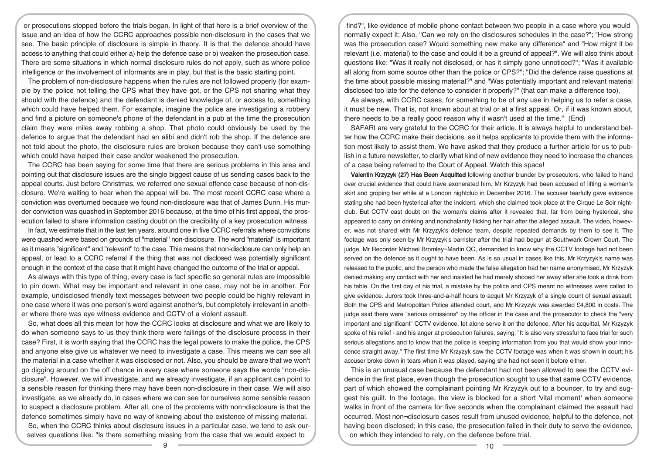or prosecutions stopped before the trials began. In light of that here is a brief overview of the issue and an idea of how the CCRC approaches possible non-disclosure in the cases that we see. The basic principle of disclosure is simple in theory. It is that the defence should have access to anything that could either a} help the defence case or b) weaken the prosecution case. There are some situations in which normal disclosure rules do not apply, such as where police intelligence or the involvement of informants are in play, but that is the basic starting point.

The problem of non-disclosure happens when the rules are not followed properly (for example by the police not telling the CPS what they have got, or the CPS not sharing what they should with the defence) and the defendant is denied knowledge of, or access to, something which could have helped them. For example, imagine the police are investigating a robbery and find a picture on someone's phone of the defendant in a pub at the time the prosecution claim they were miles away robbing a shop. That photo could obviously be used by the defence to argue that the defendant had an alibi and didn't rob the shop. If the defence are not told about the photo, the disclosure rules are broken because they can't use something which could have helped their case and/or weakened the prosecution.

The CCRC has been saying for some time that there are serious problems in this area and pointing out that disclosure issues are the single biggest cause of us sending cases back to the appeal courts. Just before Christmas, we referred one sexual offence case because of non-disclosure. We're waiting to hear when the appeal will be. The most recent CCRC case where a conviction was overturned because we found non-disclosure was that of James Dunn. His murder conviction was quashed in September 2016 because, at the time of his first appeal, the prosecution failed to share information casting doubt on the credibility of a key prosecution witness.

In fact, we estimate that in the last ten years, around one in five CCRC referrals where convictions were quashed were based on grounds of "material" non-disclosure. The word "material" is important as it means "significant" and "relevant" to the case. This means that non-disclosure can only help an appeal, or lead to a CCRC referral if the thing that was not disclosed was potentially significant enough in the context of the case that it might have changed the outcome of the trial or appeal.

As always with this type of thing, every case is fact specific so general rules are impossible to pin down. What may be important and relevant in one case, may not be in another. For example, undisclosed friendly text messages between two people could be highly relevant in one case where it was one person's word against another's, but completely irrelevant in another where there was eye witness evidence and CCTV of a violent assault.

So, what does all this mean for how the CCRC looks at disclosure and what we are likely to do when someone says to us they think there were failings of the disclosure process in their case? First, it is worth saying that the CCRC has the legal powers to make the police, the CPS and anyone else give us whatever we need to investigate a case. This means we can see all the material in a case whether it was disclosed or not. Also, you should be aware that we won't go digging around on the off chance in every case where someone says the words "non-disclosure". However, we will investigate, and we already investigate, if an applicant can point to a sensible reason for thinking there may have been non-disclosure in their case. We will also investigate, as we already do, in cases where we can see for ourselves some sensible reason to suspect a disclosure problem. After all, one of the problems with non¬disclosure is that the defence sometimes simply have no way of knowing about the existence of missing material.

So, when the CCRC thinks about disclosure issues in a particular case, we tend to ask ourselves questions like: "Is there something missing from the case that we would expect to

find?", like evidence of mobile phone contact between two people in a case where you would normally expect it; Also, "Can we rely on the disclosures schedules in the case?"; "How strong was the prosecution case? Would something new make any difference" and "How might it be relevant (i.e. material) to the case and could it be a ground of appeal?". We will also think about questions like: "Was it really not disclosed, or has it simply gone unnoticed?"; "Was it available all along from some source other than the police or CPS?"; "Did the defence raise questions at the time about possible missing material?" and "Was potentially important and relevant material disclosed too late for the defence to consider it properly?" (that can make a difference too).

As always, with CCRC cases, for something to be of any use in helping us to refer a case, it must be new. That is, not known about at trial or at a first appeal. Or, if it was known about, there needs to be a really good reason why it wasn't used at the time." (End)

SAFARI are very grateful to the CCRC for their article. It is always helpful to understand better how the CCRC make their decisions, as it helps applicants to provide them with the information most likely to assist them. We have asked that they produce a further article for us to publish in a future newsletter, to clarify what kind of new evidence they need to increase the chances of a case being referred to the Court of Appeal. Watch this space!

Valentin Krzyzyk (27) Has Been Acquitted following another blunder by prosecutors, who failed to hand over crucial evidence that could have exonerated him. Mr Krzyzyk had been accused of lifting a woman's skirt and groping her while at a London nightclub in December 2016. The accuser tearfully gave evidence stating she had been hysterical after the incident, which she claimed took place at the Cirque Le Soir nightclub. But CCTV cast doubt on the woman's claims after it revealed that, far from being hysterical, she appeared to carry on drinking and nonchalantly flicking her hair after the alleged assault. The video, however, was not shared with Mr Krzyzyk's defence team, despite repeated demands by them to see it. The footage was only seen by Mr Krzyzyk's barrister after the trial had begun at Southwark Crown Court. The judge, Mr Recorder Michael Bromley¬Martin QC, demanded to know why the CCTV footage had not been served on the defence as it ought to have been. As is so usual in cases like this, Mr Krzyzyk's name was released to the public, and the person who made the false allegation had her name anonymised. Mr Krzyzyk denied making any contact with her and insisted he had merely shooed her away after she took a drink from his table. On the first day of his trial, a mistake by the police and CPS meant no witnesses were called to give evidence. Jurors took three-and-a-half hours to acquit Mr Krzyzyk of a single count of sexual assault. Both the CPS and Metropolitan Police attended court, and Mr Krzyzyk was awarded £4,800 in costs. The judge said there were "serious omissions" by the officer in the case and the prosecutor to check the "very important and significant" CCTV evidence, let alone serve it on the defence. After his acquittal, Mr Krzyzyk spoke of his relief - and his anger at prosecution failures, saying, "It is also very stressful to face trial for such serious allegations and to know that the police is keeping information from you that would show your innocence straight away." The first time Mr Krzyzyk saw the CCTV footage was when it was shown in court; his accuser broke down in tears when it was played, saying she had not seen it before either.

This is an unusual case because the defendant had not been allowed to see the CCTV evidence in the first place, even though the prosecution sought to use that same CCTV evidence, part of which showed the complainant pointing Mr Krzyzyk out to a bouncer, to try and suggest his guilt. In the footage, the view is blocked for a short 'vital moment' when someone walks in front of the camera for five seconds when the complainant claimed the assault had occurred. Most non¬disclosure cases result from unused evidence, helpful to the defence, not having been disclosed; in this case, the prosecution failed in their duty to serve the evidence, on which they intended to rely, on the defence before trial.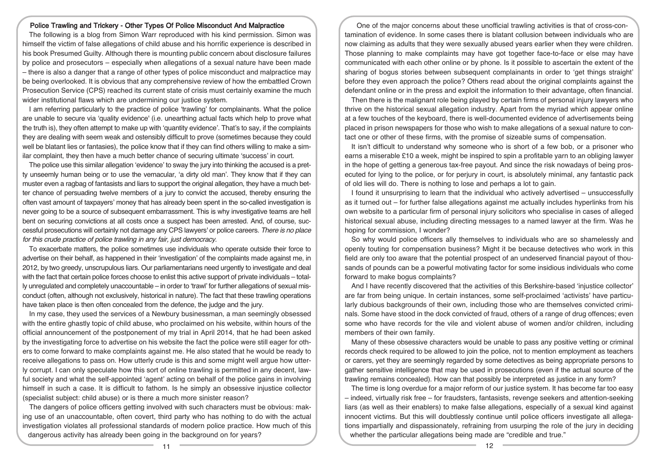### Police Trawling and Trickery - Other Types Of Police Misconduct And Malpractice

The following is a blog from Simon Warr reproduced with his kind permission. Simon was himself the victim of false allegations of child abuse and his horrific experience is described in his book Presumed Guilty. Although there is mounting public concern about disclosure failures by police and prosecutors – especially when allegations of a sexual nature have been made – there is also a danger that a range of other types of police misconduct and malpractice may be being overlooked. It is obvious that any comprehensive review of how the embattled Crown Prosecution Service (CPS) reached its current state of crisis must certainly examine the much wider institutional flaws which are undermining our justice system.

I am referring particularly to the practice of police 'trawling' for complainants. What the police are unable to secure via 'quality evidence' (i.e. unearthing actual facts which help to prove what the truth is), they often attempt to make up with 'quantity evidence'. That's to say, if the complaints they are dealing with seem weak and ostensibly difficult to prove (sometimes because they could well be blatant lies or fantasies), the police know that if they can find others willing to make a similar complaint, they then have a much better chance of securing ultimate 'success' in court.

The police use this similar allegation 'evidence' to sway the jury into thinking the accused is a pretty unseemly human being or to use the vernacular, 'a dirty old man'. They know that if they can muster even a ragbag of fantasists and liars to support the original allegation, they have a much better chance of persuading twelve members of a jury to convict the accused, thereby ensuring the often vast amount of taxpayers' money that has already been spent in the so-called investigation is never going to be a source of subsequent embarrassment. This is why investigative teams are hell bent on securing convictions at all costs once a suspect has been arrested. And, of course, successful prosecutions will certainly not damage any CPS lawyers' or police careers. There is no place for this crude practice of police trawling in any fair, just democracy.

To exacerbate matters, the police sometimes use individuals who operate outside their force to advertise on their behalf, as happened in their 'investigation' of the complaints made against me, in 2012, by two greedy, unscrupulous liars. Our parliamentarians need urgently to investigate and deal with the fact that certain police forces choose to enlist this active support of private individuals – totally unregulated and completely unaccountable – in order to 'trawl' for further allegations of sexual misconduct (often, although not exclusively, historical in nature). The fact that these trawling operations have taken place is then often concealed from the defence, the judge and the jury.

In my case, they used the services of a Newbury businessman, a man seemingly obsessed with the entire ghastly topic of child abuse, who proclaimed on his website, within hours of the official announcement of the postponement of my trial in April 2014, that he had been asked by the investigating force to advertise on his website the fact the police were still eager for others to come forward to make complaints against me. He also stated that he would be ready to receive allegations to pass on. How utterly crude is this and some might well argue how utterly corrupt. I can only speculate how this sort of online trawling is permitted in any decent, lawful society and what the self-appointed 'agent' acting on behalf of the police gains in involving himself in such a case. It is difficult to fathom. Is he simply an obsessive injustice collector (specialist subject: child abuse) or is there a much more sinister reason?

The dangers of police officers getting involved with such characters must be obvious: making use of an unaccountable, often covert, third party who has nothing to do with the actual investigation violates all professional standards of modern police practice. How much of this dangerous activity has already been going in the background on for years?

One of the major concerns about these unofficial trawling activities is that of cross-contamination of evidence. In some cases there is blatant collusion between individuals who are now claiming as adults that they were sexually abused years earlier when they were children. Those planning to make complaints may have got together face-to-face or else may have communicated with each other online or by phone. Is it possible to ascertain the extent of the sharing of bogus stories between subsequent complainants in order to 'get things straight' before they even approach the police? Others read about the original complaints against the defendant online or in the press and exploit the information to their advantage, often financial.

Then there is the malignant role being played by certain firms of personal injury lawyers who thrive on the historical sexual allegation industry. Apart from the myriad which appear online at a few touches of the keyboard, there is well-documented evidence of advertisements being placed in prison newspapers for those who wish to make allegations of a sexual nature to contact one or other of these firms, with the promise of sizeable sums of compensation.

It isn't difficult to understand why someone who is short of a few bob, or a prisoner who earns a miserable £10 a week, might be inspired to spin a profitable yarn to an obliging lawyer in the hope of getting a generous tax-free payout. And since the risk nowadays of being prosecuted for lying to the police, or for perjury in court, is absolutely minimal, any fantastic pack of old lies will do. There is nothing to lose and perhaps a lot to gain.

I found it unsurprising to learn that the individual who actively advertised – unsuccessfully as it turned out – for further false allegations against me actually includes hyperlinks from his own website to a particular firm of personal injury solicitors who specialise in cases of alleged historical sexual abuse, including directing messages to a named lawyer at the firm. Was he hoping for commission, I wonder?

So why would police officers ally themselves to individuals who are so shamelessly and openly touting for compensation business? Might it be because detectives who work in this field are only too aware that the potential prospect of an undeserved financial payout of thousands of pounds can be a powerful motivating factor for some insidious individuals who come forward to make bogus complaints?

And I have recently discovered that the activities of this Berkshire-based 'injustice collector' are far from being unique. In certain instances, some self-proclaimed 'activists' have particularly dubious backgrounds of their own, including those who are themselves convicted criminals. Some have stood in the dock convicted of fraud, others of a range of drug offences; even some who have records for the vile and violent abuse of women and/or children, including members of their own family.

Many of these obsessive characters would be unable to pass any positive vetting or criminal records check required to be allowed to join the police, not to mention employment as teachers or carers, yet they are seemingly regarded by some detectives as being appropriate persons to gather sensitive intelligence that may be used in prosecutions (even if the actual source of the trawling remains concealed). How can that possibly be interpreted as justice in any form?

The time is long overdue for a major reform of our justice system. It has become far too easy – indeed, virtually risk free – for fraudsters, fantasists, revenge seekers and attention-seeking liars (as well as their enablers) to make false allegations, especially of a sexual kind against innocent victims. But this will doubtlessly continue until police officers investigate all allegations impartially and dispassionately, refraining from usurping the role of the jury in deciding whether the particular allegations being made are "credible and true."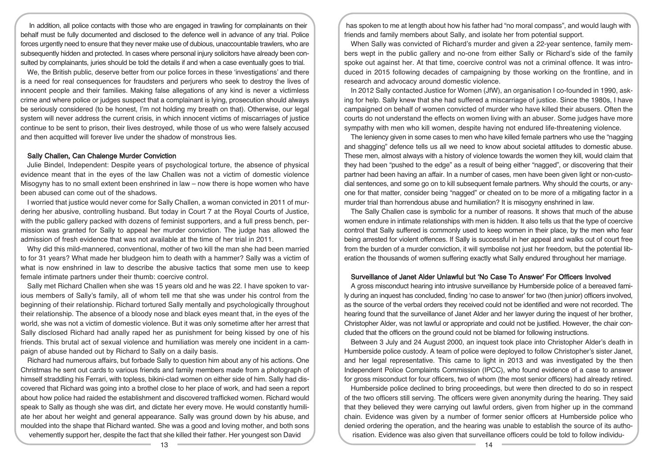In addition, all police contacts with those who are engaged in trawling for complainants on their behalf must be fully documented and disclosed to the defence well in advance of any trial. Police forces urgently need to ensure that they never make use of dubious, unaccountable trawlers, who are subsequently hidden and protected. In cases where personal injury solicitors have already been consulted by complainants, juries should be told the details if and when a case eventually goes to trial.

We, the British public, deserve better from our police forces in these 'investigations' and there is a need for real consequences for fraudsters and perjurers who seek to destroy the lives of innocent people and their families. Making false allegations of any kind is never a victimless crime and where police or judges suspect that a complainant is lying, prosecution should always be seriously considered (to be honest, I'm not holding my breath on that). Otherwise, our legal system will never address the current crisis, in which innocent victims of miscarriages of justice continue to be sent to prison, their lives destroyed, while those of us who were falsely accused and then acquitted will forever live under the shadow of monstrous lies.

#### Sally Challen, Can Chalenge Murder Conviction

Julie Bindel, Independent: Despite years of psychological torture, the absence of physical evidence meant that in the eyes of the law Challen was not a victim of domestic violence Misogyny has to no small extent been enshrined in law – now there is hope women who have been abused can come out of the shadows.

I worried that justice would never come for Sally Challen, a woman convicted in 2011 of murdering her abusive, controlling husband. But today in Court 7 at the Royal Courts of Justice, with the public gallery packed with dozens of feminist supporters, and a full press bench, permission was granted for Sally to appeal her murder conviction. The judge has allowed the admission of fresh evidence that was not available at the time of her trial in 2011.

Why did this mild-mannered, conventional, mother of two kill the man she had been married to for 31 years? What made her bludgeon him to death with a hammer? Sally was a victim of what is now enshrined in law to describe the abusive tactics that some men use to keep female intimate partners under their thumb: coercive control.

Sally met Richard Challen when she was 15 years old and he was 22. I have spoken to various members of Sally's family, all of whom tell me that she was under his control from the beginning of their relationship. Richard tortured Sally mentally and psychologically throughout their relationship. The absence of a bloody nose and black eyes meant that, in the eyes of the world, she was not a victim of domestic violence. But it was only sometime after her arrest that Sally disclosed Richard had anally raped her as punishment for being kissed by one of his friends. This brutal act of sexual violence and humiliation was merely one incident in a campaign of abuse handed out by Richard to Sally on a daily basis.

Richard had numerous affairs, but forbade Sally to question him about any of his actions. One Christmas he sent out cards to various friends and family members made from a photograph of himself straddling his Ferrari, with topless, bikini-clad women on either side of him. Sally had discovered that Richard was going into a brothel close to her place of work, and had seen a report about how police had raided the establishment and discovered trafficked women. Richard would speak to Sally as though she was dirt, and dictate her every move. He would constantly humiliate her about her weight and general appearance. Sally was ground down by his abuse, and moulded into the shape that Richard wanted. She was a good and loving mother, and both sons vehemently support her, despite the fact that she killed their father. Her youngest son David

has spoken to me at length about how his father had "no moral compass", and would laugh with friends and family members about Sally, and isolate her from potential support.

When Sally was convicted of Richard's murder and given a 22-year sentence, family members wept in the public gallery and no-one from either Sally or Richard's side of the family spoke out against her. At that time, coercive control was not a criminal offence. It was introduced in 2015 following decades of campaigning by those working on the frontline, and in research and advocacy around domestic violence.

In 2012 Sally contacted Justice for Women (JfW), an organisation I co-founded in 1990, asking for help. Sally knew that she had suffered a miscarriage of justice. Since the 1980s, I have campaigned on behalf of women convicted of murder who have killed their abusers. Often the courts do not understand the effects on women living with an abuser. Some judges have more sympathy with men who kill women, despite having not endured life-threatening violence.

The leniency given in some cases to men who have killed female partners who use the "nagging and shagging" defence tells us all we need to know about societal attitudes to domestic abuse. These men, almost always with a history of violence towards the women they kill, would claim that they had been "pushed to the edge" as a result of being either "nagged", or discovering that their partner had been having an affair. In a number of cases, men have been given light or non-custodial sentences, and some go on to kill subsequent female partners. Why should the courts, or anyone for that matter, consider being "nagged" or cheated on to be more of a mitigating factor in a murder trial than horrendous abuse and humiliation? It is misogyny enshrined in law.

The Sally Challen case is symbolic for a number of reasons. It shows that much of the abuse women endure in intimate relationships with men is hidden. It also tells us that the type of coercive control that Sally suffered is commonly used to keep women in their place, by the men who fear being arrested for violent offences. If Sally is successful in her appeal and walks out of court free from the burden of a murder conviction, it will symbolise not just her freedom, but the potential liberation the thousands of women suffering exactly what Sally endured throughout her marriage.

### Surveillance of Janet Alder Unlawful but 'No Case To Answer' For Officers Involved

A gross misconduct hearing into intrusive surveillance by Humberside police of a bereaved family during an inquest has concluded, finding 'no case to answer' for two (then junior) officers involved, as the source of the verbal orders they received could not be identified and were not recorded. The hearing found that the surveillance of Janet Alder and her lawyer during the inquest of her brother, Christopher Alder, was not lawful or appropriate and could not be justified. However, the chair concluded that the officers on the ground could not be blamed for following instructions.

Between 3 July and 24 August 2000, an inquest took place into Christopher Alder's death in Humberside police custody. A team of police were deployed to follow Christopher's sister Janet, and her legal representative. This came to light in 2013 and was investigated by the then Independent Police Complaints Commission (IPCC), who found evidence of a case to answer for gross misconduct for four officers, two of whom (the most senior officers) had already retired.

Humberside police declined to bring proceedings, but were then directed to do so in respect of the two officers still serving. The officers were given anonymity during the hearing. They said that they believed they were carrying out lawful orders, given from higher up in the command chain. Evidence was given by a number of former senior officers at Humberside police who denied ordering the operation, and the hearing was unable to establish the source of its authorisation. Evidence was also given that surveillance officers could be told to follow individu-